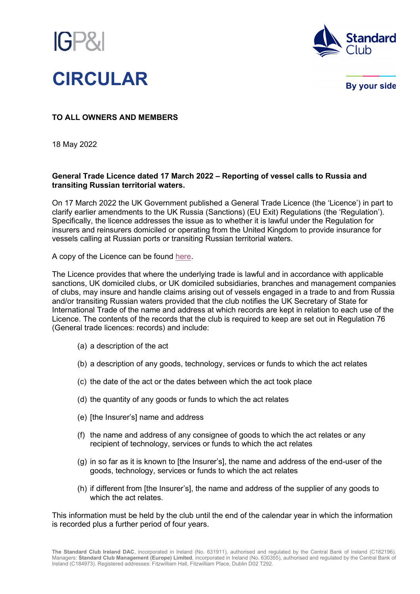



**By your side** 

## **TO ALL OWNERS AND MEMBERS**

18 May 2022

## **General Trade Licence dated 17 March 2022 – Reporting of vessel calls to Russia and transiting Russian territorial waters.**

On 17 March 2022 the UK Government published a General Trade Licence (the 'Licence') in part to clarify earlier amendments to the UK Russia (Sanctions) (EU Exit) Regulations (the 'Regulation'). Specifically, the licence addresses the issue as to whether it is lawful under the Regulation for insurers and reinsurers domiciled or operating from the United Kingdom to provide insurance for vessels calling at Russian ports or transiting Russian territorial waters.

A copy of the Licence can be found [here.](https://assets.publishing.service.gov.uk/government/uploads/system/uploads/attachment_data/file/1067674/general-trade-licence-russia-sanctions-vessels.pdf)

The Licence provides that where the underlying trade is lawful and in accordance with applicable sanctions, UK domiciled clubs, or UK domiciled subsidiaries, branches and management companies of clubs, may insure and handle claims arising out of vessels engaged in a trade to and from Russia and/or transiting Russian waters provided that the club notifies the UK Secretary of State for International Trade of the name and address at which records are kept in relation to each use of the Licence. The contents of the records that the club is required to keep are set out in Regulation 76 (General trade licences: records) and include:

- (a) a description of the act
- (b) a description of any goods, technology, services or funds to which the act relates
- (c) the date of the act or the dates between which the act took place
- (d) the quantity of any goods or funds to which the act relates
- (e) [the Insurer's] name and address
- (f) the name and address of any consignee of goods to which the act relates or any recipient of technology, services or funds to which the act relates
- (g) in so far as it is known to [the Insurer's], the name and address of the end-user of the goods, technology, services or funds to which the act relates
- (h) if different from [the Insurer's], the name and address of the supplier of any goods to which the act relates.

This information must be held by the club until the end of the calendar year in which the information is recorded plus a further period of four years.